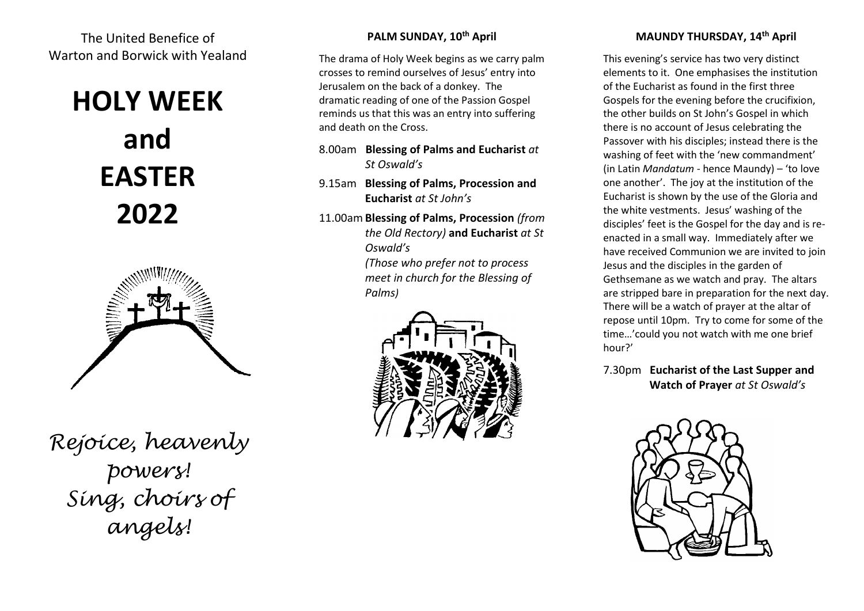The United Benefice of Warton and Borwick with Yealand

# **HOLY WEEK and EASTER 2022**



*Rejoice, heavenly powers! Sing, choirs of angels!*

# **PALM SUNDAY, 10 th April**

The drama of Holy Week begins as we carry palm crosses to remind ourselves of Jesus' entry into Jerusalem on the back of a donkey. The dramatic reading of one of the Passion Gospel reminds us that this was an entry into suffering and death on the Cross.

- 8.00am **Blessing of Palms and Eucharist** *at St Oswald's*
- 9.15am **Blessing of Palms, Procession and Eucharist** *at St John's*
- 11.00am **Blessing of Palms, Procession** *(from the Old Rectory)* **and Eucharist** *at St Oswald's*

*(Those who prefer not to process meet in church for the Blessing of Palms)*



# **MAUNDY THURSDAY, 14 th April**

This evening's service has two very distinct elements to it. One emphasises the institution of the Eucharist as found in the first three Gospels for the evening before the crucifixion, the other builds on St John's Gospel in which there is no account of Jesus celebrating the Passover with his disciples; instead there is the washing of feet with the 'new commandment' (in Latin *Mandatum* - hence Maundy) – 'to love one another'. The joy at the institution of the Eucharist is shown by the use of the Gloria and the white vestments. Jesus' washing of the disciples' feet is the Gospel for the day and is reenacted in a small way. Immediately after we have received Communion we are invited to join Jesus and the disciples in the garden of Gethsemane as we watch and pray. The altars are stripped bare in preparation for the next day. There will be a watch of prayer at the altar of repose until 10pm. Try to come for some of the time…'could you not watch with me one brief hour?'

7.30pm **Eucharist of the Last Supper and Watch of Prayer** *at St Oswald's*